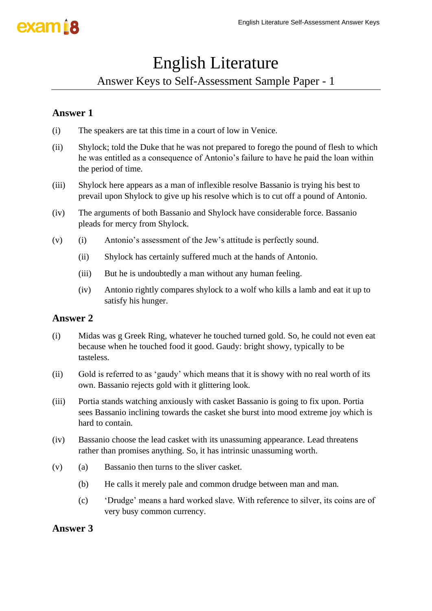## English Literature

Answer Keys to Self-Assessment Sample Paper - 1

#### **Answer 1**

- (i) The speakers are tat this time in a court of low in Venice.
- (ii) Shylock; told the Duke that he was not prepared to forego the pound of flesh to which he was entitled as a consequence of Antonio's failure to have he paid the loan within the period of time.
- (iii) Shylock here appears as a man of inflexible resolve Bassanio is trying his best to prevail upon Shylock to give up his resolve which is to cut off a pound of Antonio.
- (iv) The arguments of both Bassanio and Shylock have considerable force. Bassanio pleads for mercy from Shylock.
- (v) (i) Antonio's assessment of the Jew's attitude is perfectly sound.
	- (ii) Shylock has certainly suffered much at the hands of Antonio.
	- (iii) But he is undoubtedly a man without any human feeling.
	- (iv) Antonio rightly compares shylock to a wolf who kills a lamb and eat it up to satisfy his hunger.

#### **Answer 2**

- (i) Midas was g Greek Ring, whatever he touched turned gold. So, he could not even eat because when he touched food it good. Gaudy: bright showy, typically to be tasteless.
- (ii) Gold is referred to as 'gaudy' which means that it is showy with no real worth of its own. Bassanio rejects gold with it glittering look.
- (iii) Portia stands watching anxiously with casket Bassanio is going to fix upon. Portia sees Bassanio inclining towards the casket she burst into mood extreme joy which is hard to contain.
- (iv) Bassanio choose the lead casket with its unassuming appearance. Lead threatens rather than promises anything. So, it has intrinsic unassuming worth.
- (v) (a) Bassanio then turns to the sliver casket.
	- (b) He calls it merely pale and common drudge between man and man.
	- (c) 'Drudge' means a hard worked slave. With reference to silver, its coins are of very busy common currency.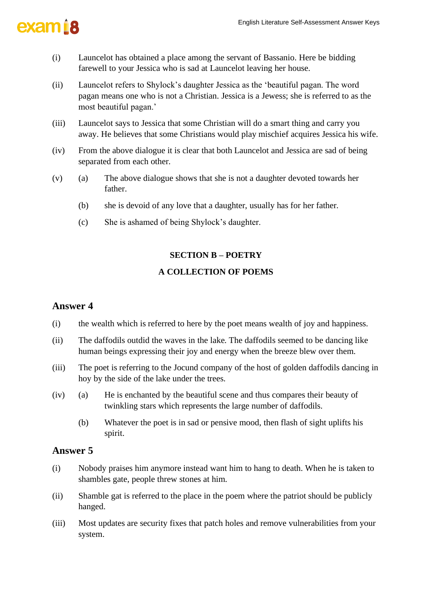

- (i) Launcelot has obtained a place among the servant of Bassanio. Here be bidding farewell to your Jessica who is sad at Launcelot leaving her house.
- (ii) Launcelot refers to Shylock's daughter Jessica as the 'beautiful pagan. The word pagan means one who is not a Christian. Jessica is a Jewess; she is referred to as the most beautiful pagan.'
- (iii) Launcelot says to Jessica that some Christian will do a smart thing and carry you away. He believes that some Christians would play mischief acquires Jessica his wife.
- (iv) From the above dialogue it is clear that both Launcelot and Jessica are sad of being separated from each other.
- (v) (a) The above dialogue shows that she is not a daughter devoted towards her father.
	- (b) she is devoid of any love that a daughter, usually has for her father.
	- (c) She is ashamed of being Shylock's daughter.

#### **SECTION B – POETRY**

#### **A COLLECTION OF POEMS**

#### **Answer 4**

- (i) the wealth which is referred to here by the poet means wealth of joy and happiness.
- (ii) The daffodils outdid the waves in the lake. The daffodils seemed to be dancing like human beings expressing their joy and energy when the breeze blew over them.
- (iii) The poet is referring to the Jocund company of the host of golden daffodils dancing in hoy by the side of the lake under the trees.
- (iv) (a) He is enchanted by the beautiful scene and thus compares their beauty of twinkling stars which represents the large number of daffodils.
	- (b) Whatever the poet is in sad or pensive mood, then flash of sight uplifts his spirit.

- (i) Nobody praises him anymore instead want him to hang to death. When he is taken to shambles gate, people threw stones at him.
- (ii) Shamble gat is referred to the place in the poem where the patriot should be publicly hanged.
- (iii) Most updates are security fixes that patch holes and remove vulnerabilities from your system.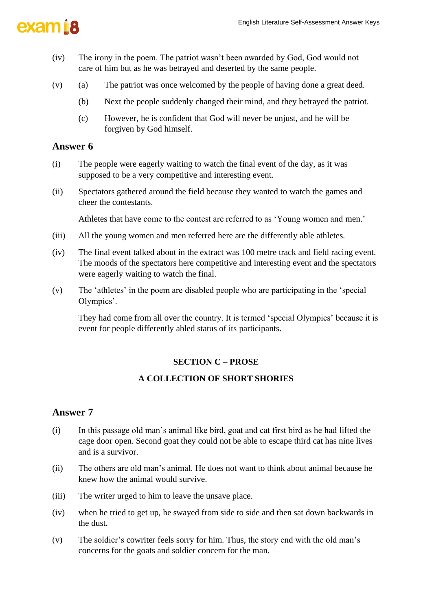



- (iv) The irony in the poem. The patriot wasn't been awarded by God, God would not care of him but as he was betrayed and deserted by the same people.
- (v) (a) The patriot was once welcomed by the people of having done a great deed.
	- (b) Next the people suddenly changed their mind, and they betrayed the patriot.
	- (c) However, he is confident that God will never be unjust, and he will be forgiven by God himself.

#### **Answer 6**

- (i) The people were eagerly waiting to watch the final event of the day, as it was supposed to be a very competitive and interesting event.
- (ii) Spectators gathered around the field because they wanted to watch the games and cheer the contestants.

Athletes that have come to the contest are referred to as 'Young women and men.'

- (iii) All the young women and men referred here are the differently able athletes.
- (iv) The final event talked about in the extract was 100 metre track and field racing event. The moods of the spectators here competitive and interesting event and the spectators were eagerly waiting to watch the final.
- (v) The 'athletes' in the poem are disabled people who are participating in the 'special Olympics'.

They had come from all over the country. It is termed 'special Olympics' because it is event for people differently abled status of its participants.

#### **SECTION C – PROSE**

#### **A COLLECTION OF SHORT SHORIES**

- (i) In this passage old man's animal like bird, goat and cat first bird as he had lifted the cage door open. Second goat they could not be able to escape third cat has nine lives and is a survivor.
- (ii) The others are old man's animal. He does not want to think about animal because he knew how the animal would survive.
- (iii) The writer urged to him to leave the unsave place.
- (iv) when he tried to get up, he swayed from side to side and then sat down backwards in the dust.
- (v) The soldier's cowriter feels sorry for him. Thus, the story end with the old man's concerns for the goats and soldier concern for the man.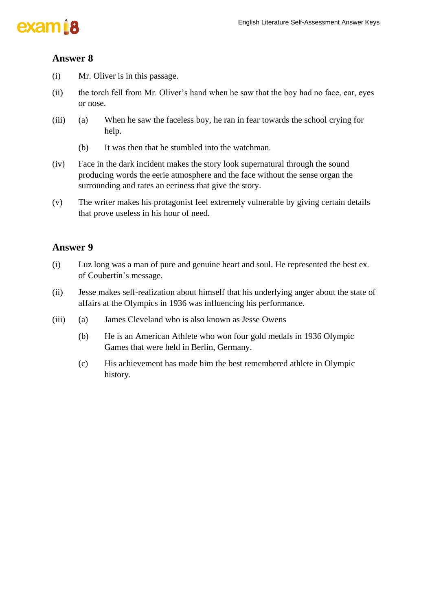

#### **Answer 8**

- (i) Mr. Oliver is in this passage.
- (ii) the torch fell from Mr. Oliver's hand when he saw that the boy had no face, ear, eyes or nose.
- (iii) (a) When he saw the faceless boy, he ran in fear towards the school crying for help.
	- (b) It was then that he stumbled into the watchman.
- (iv) Face in the dark incident makes the story look supernatural through the sound producing words the eerie atmosphere and the face without the sense organ the surrounding and rates an eeriness that give the story.
- (v) The writer makes his protagonist feel extremely vulnerable by giving certain details that prove useless in his hour of need.

- (i) Luz long was a man of pure and genuine heart and soul. He represented the best ex. of Coubertin's message.
- (ii) Jesse makes self-realization about himself that his underlying anger about the state of affairs at the Olympics in 1936 was influencing his performance.
- (iii) (a) James Cleveland who is also known as Jesse Owens
	- (b) He is an American Athlete who won four gold medals in 1936 Olympic Games that were held in Berlin, Germany.
	- (c) His achievement has made him the best remembered athlete in Olympic history.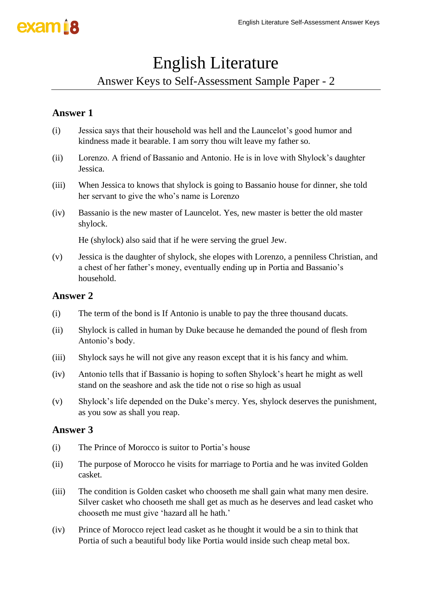# **exam R**

## English Literature

### Answer Keys to Self-Assessment Sample Paper - 2

#### **Answer 1**

- (i) Jessica says that their household was hell and the Launcelot's good humor and kindness made it bearable. I am sorry thou wilt leave my father so.
- (ii) Lorenzo. A friend of Bassanio and Antonio. He is in love with Shylock's daughter Jessica.
- (iii) When Jessica to knows that shylock is going to Bassanio house for dinner, she told her servant to give the who's name is Lorenzo
- (iv) Bassanio is the new master of Launcelot. Yes, new master is better the old master shylock.

He (shylock) also said that if he were serving the gruel Jew.

(v) Jessica is the daughter of shylock, she elopes with Lorenzo, a penniless Christian, and a chest of her father's money, eventually ending up in Portia and Bassanio's household.

#### **Answer 2**

- (i) The term of the bond is If Antonio is unable to pay the three thousand ducats.
- (ii) Shylock is called in human by Duke because he demanded the pound of flesh from Antonio's body.
- (iii) Shylock says he will not give any reason except that it is his fancy and whim.
- (iv) Antonio tells that if Bassanio is hoping to soften Shylock's heart he might as well stand on the seashore and ask the tide not o rise so high as usual
- (v) Shylock's life depended on the Duke's mercy. Yes, shylock deserves the punishment, as you sow as shall you reap.

- (i) The Prince of Morocco is suitor to Portia's house
- (ii) The purpose of Morocco he visits for marriage to Portia and he was invited Golden casket.
- (iii) The condition is Golden casket who chooseth me shall gain what many men desire. Silver casket who chooseth me shall get as much as he deserves and lead casket who chooseth me must give 'hazard all he hath.'
- (iv) Prince of Morocco reject lead casket as he thought it would be a sin to think that Portia of such a beautiful body like Portia would inside such cheap metal box.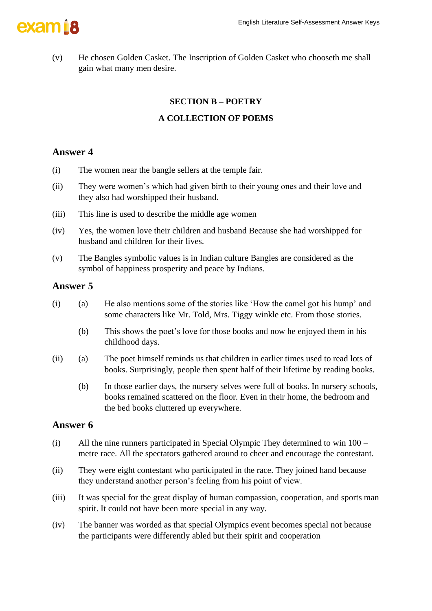

(v) He chosen Golden Casket. The Inscription of Golden Casket who chooseth me shall gain what many men desire.

#### **SECTION B – POETRY**

#### **A COLLECTION OF POEMS**

#### **Answer 4**

- (i) The women near the bangle sellers at the temple fair.
- (ii) They were women's which had given birth to their young ones and their love and they also had worshipped their husband.
- (iii) This line is used to describe the middle age women
- (iv) Yes, the women love their children and husband Because she had worshipped for husband and children for their lives.
- (v) The Bangles symbolic values is in Indian culture Bangles are considered as the symbol of happiness prosperity and peace by Indians.

#### **Answer 5**

- (i) (a) He also mentions some of the stories like 'How the camel got his hump' and some characters like Mr. Told, Mrs. Tiggy winkle etc. From those stories.
	- (b) This shows the poet's love for those books and now he enjoyed them in his childhood days.
- (ii) (a) The poet himself reminds us that children in earlier times used to read lots of books. Surprisingly, people then spent half of their lifetime by reading books.
	- (b) In those earlier days, the nursery selves were full of books. In nursery schools, books remained scattered on the floor. Even in their home, the bedroom and the bed books cluttered up everywhere.

- (i) All the nine runners participated in Special Olympic They determined to win 100 metre race. All the spectators gathered around to cheer and encourage the contestant.
- (ii) They were eight contestant who participated in the race. They joined hand because they understand another person's feeling from his point of view.
- (iii) It was special for the great display of human compassion, cooperation, and sports man spirit. It could not have been more special in any way.
- (iv) The banner was worded as that special Olympics event becomes special not because the participants were differently abled but their spirit and cooperation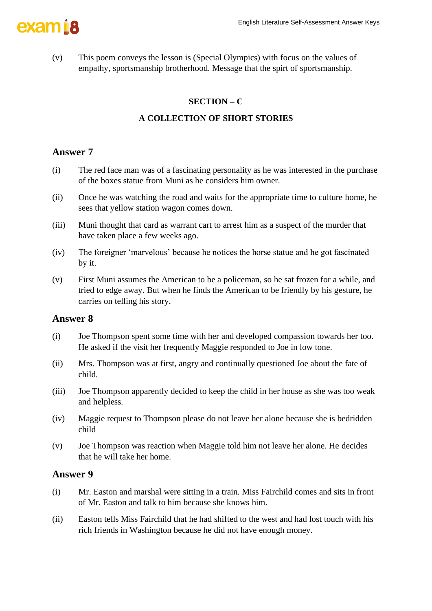

(v) This poem conveys the lesson is (Special Olympics) with focus on the values of empathy, sportsmanship brotherhood. Message that the spirt of sportsmanship.

#### **SECTION – C**

#### **A COLLECTION OF SHORT STORIES**

#### **Answer 7**

- (i) The red face man was of a fascinating personality as he was interested in the purchase of the boxes statue from Muni as he considers him owner.
- (ii) Once he was watching the road and waits for the appropriate time to culture home, he sees that yellow station wagon comes down.
- (iii) Muni thought that card as warrant cart to arrest him as a suspect of the murder that have taken place a few weeks ago.
- (iv) The foreigner 'marvelous' because he notices the horse statue and he got fascinated by it.
- (v) First Muni assumes the American to be a policeman, so he sat frozen for a while, and tried to edge away. But when he finds the American to be friendly by his gesture, he carries on telling his story.

#### **Answer 8**

- (i) Joe Thompson spent some time with her and developed compassion towards her too. He asked if the visit her frequently Maggie responded to Joe in low tone.
- (ii) Mrs. Thompson was at first, angry and continually questioned Joe about the fate of child.
- (iii) Joe Thompson apparently decided to keep the child in her house as she was too weak and helpless.
- (iv) Maggie request to Thompson please do not leave her alone because she is bedridden child
- (v) Joe Thompson was reaction when Maggie told him not leave her alone. He decides that he will take her home.

- (i) Mr. Easton and marshal were sitting in a train. Miss Fairchild comes and sits in front of Mr. Easton and talk to him because she knows him.
- (ii) Easton tells Miss Fairchild that he had shifted to the west and had lost touch with his rich friends in Washington because he did not have enough money.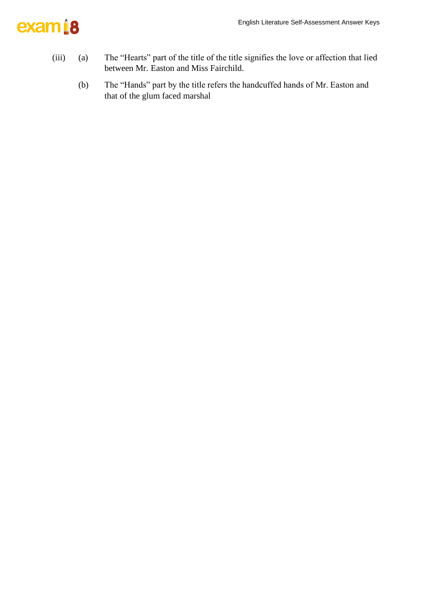

- (iii) (a) The "Hearts" part of the title of the title signifies the love or affection that lied between Mr. Easton and Miss Fairchild.
	- (b) The "Hands" part by the title refers the handcuffed hands of Mr. Easton and that of the glum faced marshal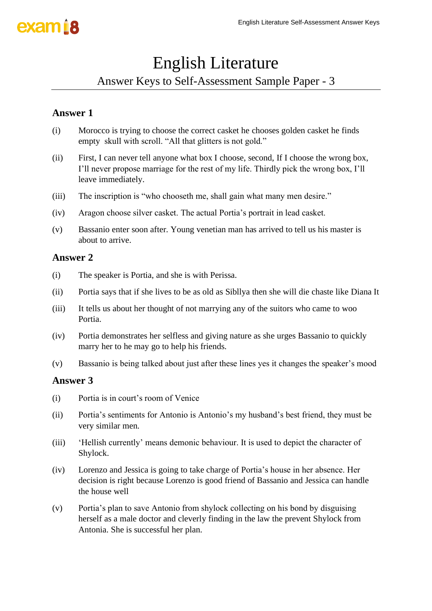## English Literature

### Answer Keys to Self-Assessment Sample Paper - 3

#### **Answer 1**

- (i) Morocco is trying to choose the correct casket he chooses golden casket he finds empty skull with scroll. "All that glitters is not gold."
- (ii) First, I can never tell anyone what box I choose, second, If I choose the wrong box, I'll never propose marriage for the rest of my life. Thirdly pick the wrong box, I'll leave immediately.
- (iii) The inscription is "who chooseth me, shall gain what many men desire."
- (iv) Aragon choose silver casket. The actual Portia's portrait in lead casket.
- (v) Bassanio enter soon after. Young venetian man has arrived to tell us his master is about to arrive.

#### **Answer 2**

- (i) The speaker is Portia, and she is with Perissa.
- (ii) Portia says that if she lives to be as old as Sibllya then she will die chaste like Diana It
- (iii) It tells us about her thought of not marrying any of the suitors who came to woo Portia.
- (iv) Portia demonstrates her selfless and giving nature as she urges Bassanio to quickly marry her to he may go to help his friends.
- (v) Bassanio is being talked about just after these lines yes it changes the speaker's mood

- (i) Portia is in court's room of Venice
- (ii) Portia's sentiments for Antonio is Antonio's my husband's best friend, they must be very similar men.
- (iii) 'Hellish currently' means demonic behaviour. It is used to depict the character of Shylock.
- (iv) Lorenzo and Jessica is going to take charge of Portia's house in her absence. Her decision is right because Lorenzo is good friend of Bassanio and Jessica can handle the house well
- (v) Portia's plan to save Antonio from shylock collecting on his bond by disguising herself as a male doctor and cleverly finding in the law the prevent Shylock from Antonia. She is successful her plan.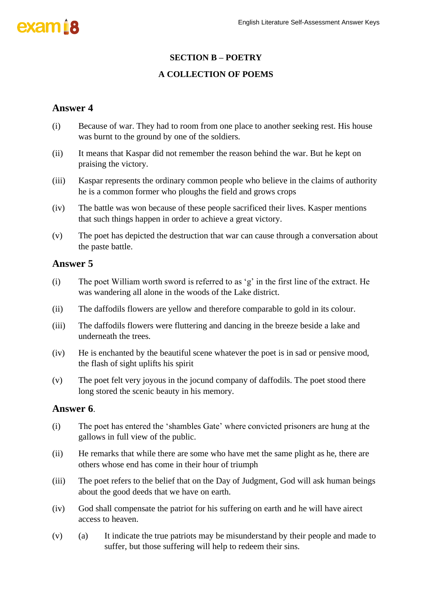#### **SECTION B – POETRY**

#### **A COLLECTION OF POEMS**

#### **Answer 4**

- (i) Because of war. They had to room from one place to another seeking rest. His house was burnt to the ground by one of the soldiers.
- (ii) It means that Kaspar did not remember the reason behind the war. But he kept on praising the victory.
- (iii) Kaspar represents the ordinary common people who believe in the claims of authority he is a common former who ploughs the field and grows crops
- (iv) The battle was won because of these people sacrificed their lives. Kasper mentions that such things happen in order to achieve a great victory.
- (v) The poet has depicted the destruction that war can cause through a conversation about the paste battle.

#### **Answer 5**

- (i) The poet William worth sword is referred to as 'g' in the first line of the extract. He was wandering all alone in the woods of the Lake district.
- (ii) The daffodils flowers are yellow and therefore comparable to gold in its colour.
- (iii) The daffodils flowers were fluttering and dancing in the breeze beside a lake and underneath the trees.
- (iv) He is enchanted by the beautiful scene whatever the poet is in sad or pensive mood, the flash of sight uplifts his spirit
- (v) The poet felt very joyous in the jocund company of daffodils. The poet stood there long stored the scenic beauty in his memory.

#### **Answer 6**.

- (i) The poet has entered the 'shambles Gate' where convicted prisoners are hung at the gallows in full view of the public.
- (ii) He remarks that while there are some who have met the same plight as he, there are others whose end has come in their hour of triumph
- (iii) The poet refers to the belief that on the Day of Judgment, God will ask human beings about the good deeds that we have on earth.
- (iv) God shall compensate the patriot for his suffering on earth and he will have airect access to heaven.
- (v) (a) It indicate the true patriots may be misunderstand by their people and made to suffer, but those suffering will help to redeem their sins.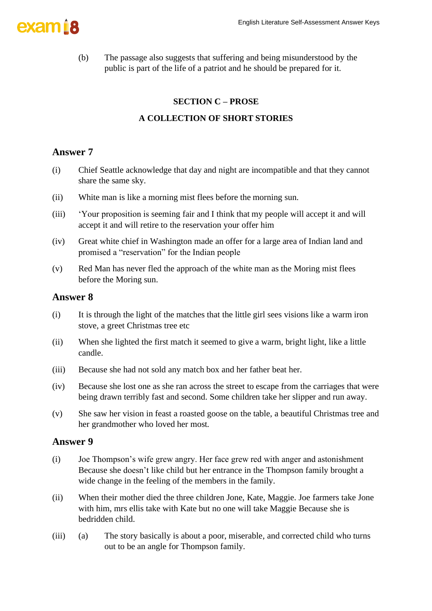

(b) The passage also suggests that suffering and being misunderstood by the public is part of the life of a patriot and he should be prepared for it.

#### **SECTION C – PROSE**

#### **A COLLECTION OF SHORT STORIES**

#### **Answer 7**

- (i) Chief Seattle acknowledge that day and night are incompatible and that they cannot share the same sky.
- (ii) White man is like a morning mist flees before the morning sun.
- (iii) 'Your proposition is seeming fair and I think that my people will accept it and will accept it and will retire to the reservation your offer him
- (iv) Great white chief in Washington made an offer for a large area of Indian land and promised a "reservation" for the Indian people
- (v) Red Man has never fled the approach of the white man as the Moring mist flees before the Moring sun.

#### **Answer 8**

- (i) It is through the light of the matches that the little girl sees visions like a warm iron stove, a greet Christmas tree etc
- (ii) When she lighted the first match it seemed to give a warm, bright light, like a little candle.
- (iii) Because she had not sold any match box and her father beat her.
- (iv) Because she lost one as she ran across the street to escape from the carriages that were being drawn terribly fast and second. Some children take her slipper and run away.
- (v) She saw her vision in feast a roasted goose on the table, a beautiful Christmas tree and her grandmother who loved her most.

- (i) Joe Thompson's wife grew angry. Her face grew red with anger and astonishment Because she doesn't like child but her entrance in the Thompson family brought a wide change in the feeling of the members in the family.
- (ii) When their mother died the three children Jone, Kate, Maggie. Joe farmers take Jone with him, mrs ellis take with Kate but no one will take Maggie Because she is bedridden child.
- (iii) (a) The story basically is about a poor, miserable, and corrected child who turns out to be an angle for Thompson family.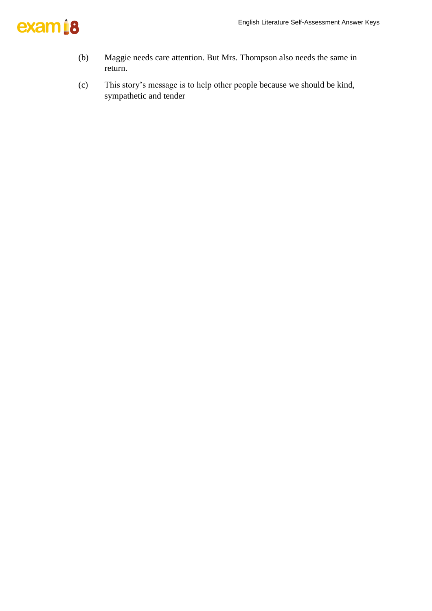

- (b) Maggie needs care attention. But Mrs. Thompson also needs the same in return.
- (c) This story's message is to help other people because we should be kind, sympathetic and tender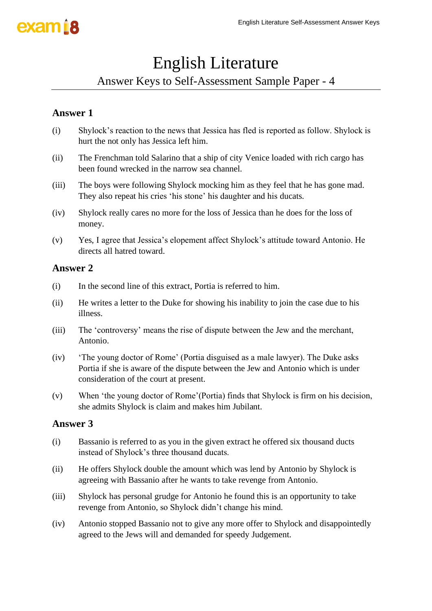## English Literature

### Answer Keys to Self-Assessment Sample Paper - 4

#### **Answer 1**

- (i) Shylock's reaction to the news that Jessica has fled is reported as follow. Shylock is hurt the not only has Jessica left him.
- (ii) The Frenchman told Salarino that a ship of city Venice loaded with rich cargo has been found wrecked in the narrow sea channel.
- (iii) The boys were following Shylock mocking him as they feel that he has gone mad. They also repeat his cries 'his stone' his daughter and his ducats.
- (iv) Shylock really cares no more for the loss of Jessica than he does for the loss of money.
- (v) Yes, I agree that Jessica's elopement affect Shylock's attitude toward Antonio. He directs all hatred toward.

#### **Answer 2**

- (i) In the second line of this extract, Portia is referred to him.
- (ii) He writes a letter to the Duke for showing his inability to join the case due to his illness.
- (iii) The 'controversy' means the rise of dispute between the Jew and the merchant, Antonio.
- (iv) 'The young doctor of Rome' (Portia disguised as a male lawyer). The Duke asks Portia if she is aware of the dispute between the Jew and Antonio which is under consideration of the court at present.
- (v) When 'the young doctor of Rome'(Portia) finds that Shylock is firm on his decision, she admits Shylock is claim and makes him Jubilant.

- (i) Bassanio is referred to as you in the given extract he offered six thousand ducts instead of Shylock's three thousand ducats.
- (ii) He offers Shylock double the amount which was lend by Antonio by Shylock is agreeing with Bassanio after he wants to take revenge from Antonio.
- (iii) Shylock has personal grudge for Antonio he found this is an opportunity to take revenge from Antonio, so Shylock didn't change his mind.
- (iv) Antonio stopped Bassanio not to give any more offer to Shylock and disappointedly agreed to the Jews will and demanded for speedy Judgement.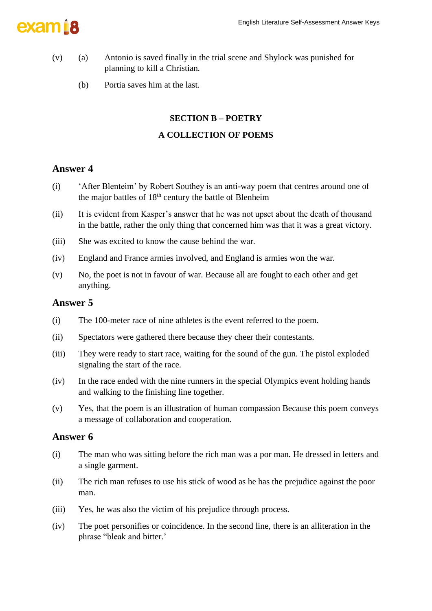

- (v) (a) Antonio is saved finally in the trial scene and Shylock was punished for planning to kill a Christian.
	- (b) Portia saves him at the last.

#### **SECTION B – POETRY**

#### **A COLLECTION OF POEMS**

#### **Answer 4**

- (i) 'After Blenteim' by Robert Southey is an anti-way poem that centres around one of the major battles of  $18<sup>th</sup>$  century the battle of Blenheim
- (ii) It is evident from Kasper's answer that he was not upset about the death of thousand in the battle, rather the only thing that concerned him was that it was a great victory.
- (iii) She was excited to know the cause behind the war.
- (iv) England and France armies involved, and England is armies won the war.
- (v) No, the poet is not in favour of war. Because all are fought to each other and get anything.

#### **Answer 5**

- (i) The 100-meter race of nine athletes is the event referred to the poem.
- (ii) Spectators were gathered there because they cheer their contestants.
- (iii) They were ready to start race, waiting for the sound of the gun. The pistol exploded signaling the start of the race.
- (iv) In the race ended with the nine runners in the special Olympics event holding hands and walking to the finishing line together.
- (v) Yes, that the poem is an illustration of human compassion Because this poem conveys a message of collaboration and cooperation.

- (i) The man who was sitting before the rich man was a por man. He dressed in letters and a single garment.
- (ii) The rich man refuses to use his stick of wood as he has the prejudice against the poor man.
- (iii) Yes, he was also the victim of his prejudice through process.
- (iv) The poet personifies or coincidence. In the second line, there is an alliteration in the phrase "bleak and bitter.'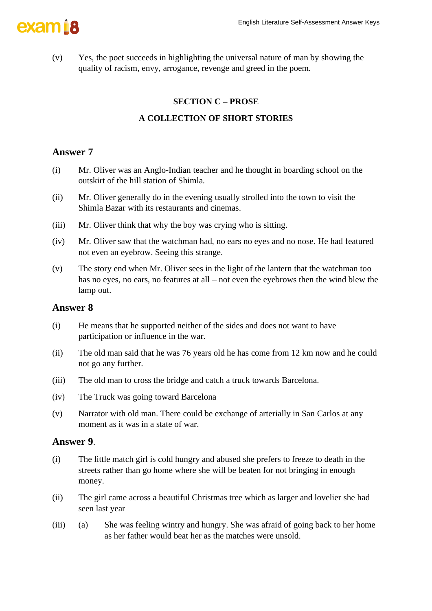

(v) Yes, the poet succeeds in highlighting the universal nature of man by showing the quality of racism, envy, arrogance, revenge and greed in the poem.

#### **SECTION C – PROSE**

#### **A COLLECTION OF SHORT STORIES**

#### **Answer 7**

- (i) Mr. Oliver was an Anglo-Indian teacher and he thought in boarding school on the outskirt of the hill station of Shimla.
- (ii) Mr. Oliver generally do in the evening usually strolled into the town to visit the Shimla Bazar with its restaurants and cinemas.
- (iii) Mr. Oliver think that why the boy was crying who is sitting.
- (iv) Mr. Oliver saw that the watchman had, no ears no eyes and no nose. He had featured not even an eyebrow. Seeing this strange.
- (v) The story end when Mr. Oliver sees in the light of the lantern that the watchman too has no eyes, no ears, no features at all – not even the eyebrows then the wind blew the lamp out.

#### **Answer 8**

- (i) He means that he supported neither of the sides and does not want to have participation or influence in the war.
- (ii) The old man said that he was 76 years old he has come from 12 km now and he could not go any further.
- (iii) The old man to cross the bridge and catch a truck towards Barcelona.
- (iv) The Truck was going toward Barcelona
- (v) Narrator with old man. There could be exchange of arterially in San Carlos at any moment as it was in a state of war.

#### **Answer 9**.

- (i) The little match girl is cold hungry and abused she prefers to freeze to death in the streets rather than go home where she will be beaten for not bringing in enough money.
- (ii) The girl came across a beautiful Christmas tree which as larger and lovelier she had seen last year
- (iii) (a) She was feeling wintry and hungry. She was afraid of going back to her home as her father would beat her as the matches were unsold.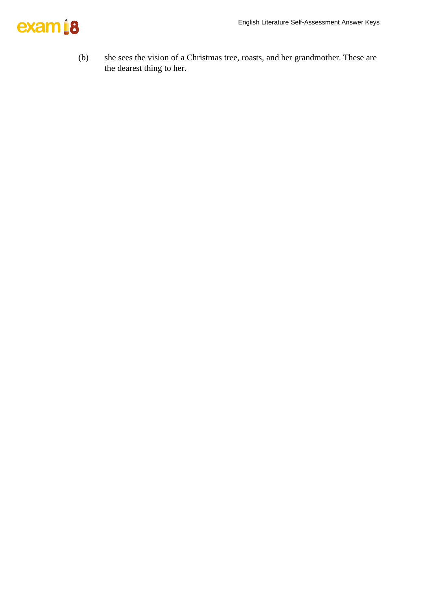

(b) she sees the vision of a Christmas tree, roasts, and her grandmother. These are the dearest thing to her.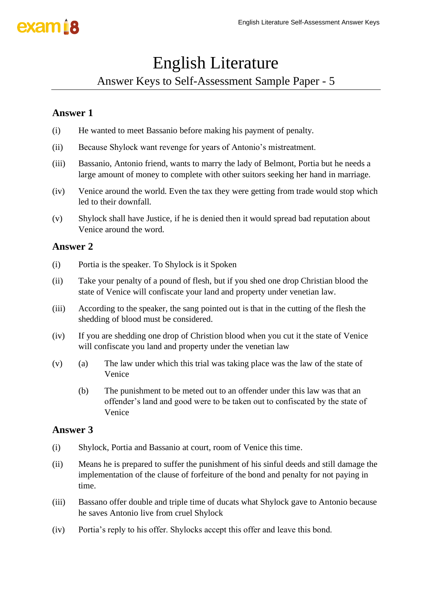### English Literature

Answer Keys to Self-Assessment Sample Paper - 5

#### **Answer 1**

- (i) He wanted to meet Bassanio before making his payment of penalty.
- (ii) Because Shylock want revenge for years of Antonio's mistreatment.
- (iii) Bassanio, Antonio friend, wants to marry the lady of Belmont, Portia but he needs a large amount of money to complete with other suitors seeking her hand in marriage.
- (iv) Venice around the world. Even the tax they were getting from trade would stop which led to their downfall.
- (v) Shylock shall have Justice, if he is denied then it would spread bad reputation about Venice around the word.

#### **Answer 2**

- (i) Portia is the speaker. To Shylock is it Spoken
- (ii) Take your penalty of a pound of flesh, but if you shed one drop Christian blood the state of Venice will confiscate your land and property under venetian law.
- (iii) According to the speaker, the sang pointed out is that in the cutting of the flesh the shedding of blood must be considered.
- (iv) If you are shedding one drop of Christion blood when you cut it the state of Venice will confiscate you land and property under the venetian law
- (v) (a) The law under which this trial was taking place was the law of the state of Venice
	- (b) The punishment to be meted out to an offender under this law was that an offender's land and good were to be taken out to confiscated by the state of Venice

- (i) Shylock, Portia and Bassanio at court, room of Venice this time.
- (ii) Means he is prepared to suffer the punishment of his sinful deeds and still damage the implementation of the clause of forfeiture of the bond and penalty for not paying in time.
- (iii) Bassano offer double and triple time of ducats what Shylock gave to Antonio because he saves Antonio live from cruel Shylock
- (iv) Portia's reply to his offer. Shylocks accept this offer and leave this bond.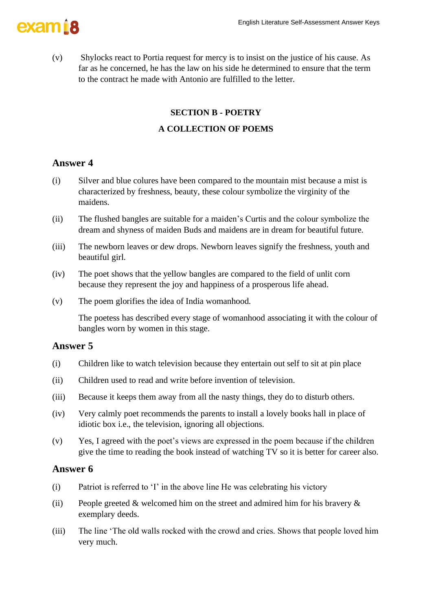

(v) Shylocks react to Portia request for mercy is to insist on the justice of his cause. As far as he concerned, he has the law on his side he determined to ensure that the term to the contract he made with Antonio are fulfilled to the letter.

### **SECTION B - POETRY A COLLECTION OF POEMS**

#### **Answer 4**

- (i) Silver and blue colures have been compared to the mountain mist because a mist is characterized by freshness, beauty, these colour symbolize the virginity of the maidens.
- (ii) The flushed bangles are suitable for a maiden's Curtis and the colour symbolize the dream and shyness of maiden Buds and maidens are in dream for beautiful future.
- (iii) The newborn leaves or dew drops. Newborn leaves signify the freshness, youth and beautiful girl.
- (iv) The poet shows that the yellow bangles are compared to the field of unlit corn because they represent the joy and happiness of a prosperous life ahead.
- (v) The poem glorifies the idea of India womanhood.

The poetess has described every stage of womanhood associating it with the colour of bangles worn by women in this stage.

#### **Answer 5**

- (i) Children like to watch television because they entertain out self to sit at pin place
- (ii) Children used to read and write before invention of television.
- (iii) Because it keeps them away from all the nasty things, they do to disturb others.
- (iv) Very calmly poet recommends the parents to install a lovely books hall in place of idiotic box i.e., the television, ignoring all objections.
- (v) Yes, I agreed with the poet's views are expressed in the poem because if the children give the time to reading the book instead of watching TV so it is better for career also.

- (i) Patriot is referred to 'I' in the above line He was celebrating his victory
- (ii) People greeted  $&$  welcomed him on the street and admired him for his bravery  $&$ exemplary deeds.
- (iii) The line 'The old walls rocked with the crowd and cries. Shows that people loved him very much.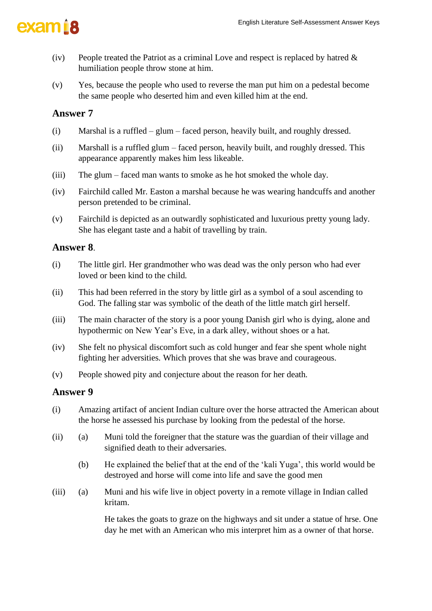

- (iv) People treated the Patriot as a criminal Love and respect is replaced by hatred  $\&$ humiliation people throw stone at him.
- (v) Yes, because the people who used to reverse the man put him on a pedestal become the same people who deserted him and even killed him at the end.

#### **Answer 7**

- (i) Marshal is a ruffled glum faced person, heavily built, and roughly dressed.
- (ii) Marshall is a ruffled glum faced person, heavily built, and roughly dressed. This appearance apparently makes him less likeable.
- (iii) The glum faced man wants to smoke as he hot smoked the whole day.
- (iv) Fairchild called Mr. Easton a marshal because he was wearing handcuffs and another person pretended to be criminal.
- (v) Fairchild is depicted as an outwardly sophisticated and luxurious pretty young lady. She has elegant taste and a habit of travelling by train.

#### **Answer 8**.

- (i) The little girl. Her grandmother who was dead was the only person who had ever loved or been kind to the child.
- (ii) This had been referred in the story by little girl as a symbol of a soul ascending to God. The falling star was symbolic of the death of the little match girl herself.
- (iii) The main character of the story is a poor young Danish girl who is dying, alone and hypothermic on New Year's Eve, in a dark alley, without shoes or a hat.
- (iv) She felt no physical discomfort such as cold hunger and fear she spent whole night fighting her adversities. Which proves that she was brave and courageous.
- (v) People showed pity and conjecture about the reason for her death.

#### **Answer 9**

- (i) Amazing artifact of ancient Indian culture over the horse attracted the American about the horse he assessed his purchase by looking from the pedestal of the horse.
- (ii) (a) Muni told the foreigner that the stature was the guardian of their village and signified death to their adversaries.
	- (b) He explained the belief that at the end of the 'kali Yuga', this world would be destroyed and horse will come into life and save the good men
- (iii) (a) Muni and his wife live in object poverty in a remote village in Indian called kritam.

He takes the goats to graze on the highways and sit under a statue of hrse. One day he met with an American who mis interpret him as a owner of that horse.